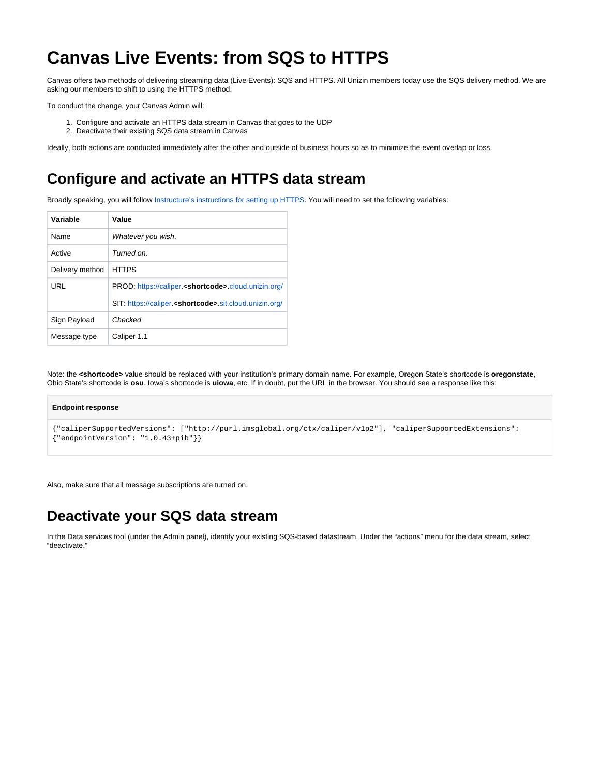## **Canvas Live Events: from SQS to HTTPS**

Canvas offers two methods of delivering streaming data (Live Events): SQS and HTTPS. All Unizin members today use the SQS delivery method. We are asking our members to shift to using the HTTPS method.

To conduct the change, your Canvas Admin will:

- 1. Configure and activate an HTTPS data stream in Canvas that goes to the UDP
- 2. Deactivate their existing SQS data stream in Canvas

Ideally, both actions are conducted immediately after the other and outside of business hours so as to minimize the event overlap or loss.

## **Configure and activate an HTTPS data stream**

Broadly speaking, you will follow [Instructure's instructions for setting up HTTPS.](https://community.canvaslms.com/t5/Admin-Guide/How-do-I-configure-and-test-Canvas-Live-Events-using-HTTPS/ta-p/151) You will need to set the following variables:

| Variable        | Value                                                               |
|-----------------|---------------------------------------------------------------------|
| <b>Name</b>     | Whatever you wish.                                                  |
| Active          | Turned on.                                                          |
| Delivery method | <b>HTTPS</b>                                                        |
| URL             | PROD: https://caliper. <shortcode>.cloud.unizin.org/</shortcode>    |
|                 | SIT: https://caliper. <shortcode>.sit.cloud.unizin.org/</shortcode> |
| Sign Payload    | Checked                                                             |
| Message type    | Caliper 1.1                                                         |

Note: the **<shortcode>** value should be replaced with your institution's primary domain name. For example, Oregon State's shortcode is **oregonstate**, Ohio State's shortcode is **osu**. Iowa's shortcode is **uiowa**, etc. If in doubt, put the URL in the browser. You should see a response like this:

## **Endpoint response**

```
{"caliperSupportedVersions": ["http://purl.imsglobal.org/ctx/caliper/v1p2"], "caliperSupportedExtensions": 
{"endpointVersion": "1.0.43+pib"}}
```
Also, make sure that all message subscriptions are turned on.

## **Deactivate your SQS data stream**

In the Data services tool (under the Admin panel), identify your existing SQS-based datastream. Under the "actions" menu for the data stream, select "deactivate."